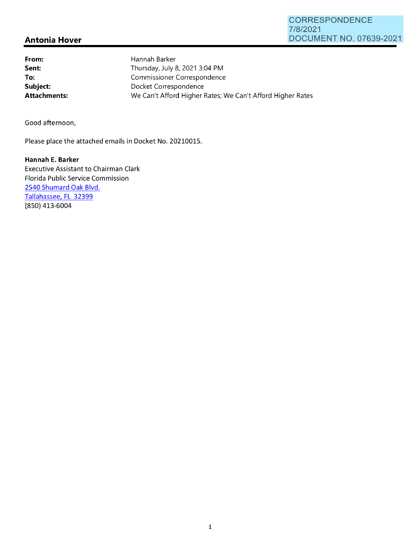## **CORRESPONDENCE** 7/8/2021 DOCUMENT NO. 07639-2021

## **Antonia Hover**

**From: Sent: To: Subject:**  Hannah Barker Thursday, July 8, 2021 3:04 PM Commissioner Correspondence Docket Correspondence **Attachments:** We Can't Afford Higher Rates; We Can't Afford Higher Rates

Good afternoon,

Please place the attached emails in Docket No. 20210015.

**Hannah E. Barker**  Executive Assistant to Chairman Clark Florida Public Service Commission 2540 Shumard Oak Blvd. Tallahassee, FL 32399 (850) 413-6004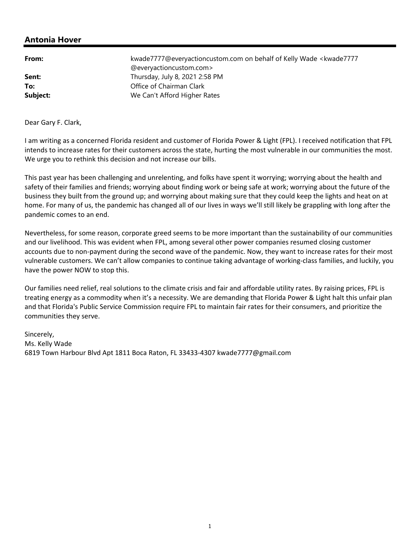## **Antonia Hover**

| From:    | kwade7777@everyactioncustom.com on behalf of Kelly Wade <kwade7777<br>@everyactioncustom.com&gt;</kwade7777<br> |
|----------|-----------------------------------------------------------------------------------------------------------------|
| Sent:    | Thursday, July 8, 2021 2:58 PM                                                                                  |
| To:      | Office of Chairman Clark                                                                                        |
| Subject: | We Can't Afford Higher Rates                                                                                    |

Dear Gary F. Clark,

I am writing as a concerned Florida resident and customer of Florida Power & Light (FPL). I received notification that FPL intends to increase rates for their customers across the state, hurting the most vulnerable in our communities the most. We urge you to rethink this decision and not increase our bills.

This past year has been challenging and unrelenting, and folks have spent it worrying; worrying about the health and safety of their families and friends; worrying about finding work or being safe at work; worrying about the future of the business they built from the ground up; and worrying about making sure that they could keep the lights and heat on at home. For many of us, the pandemic has changed all of our lives in ways we'll still likely be grappling with long after the pandemic comes to an end.

Nevertheless, for some reason, corporate greed seems to be more important than the sustainability of our communities and our livelihood. This was evident when FPL, among several other power companies resumed closing customer accounts due to non‐payment during the second wave of the pandemic. Now, they want to increase rates for their most vulnerable customers. We can't allow companies to continue taking advantage of working‐class families, and luckily, you have the power NOW to stop this.

Our families need relief, real solutions to the climate crisis and fair and affordable utility rates. By raising prices, FPL is treating energy as a commodity when it's a necessity. We are demanding that Florida Power & Light halt this unfair plan and that Florida's Public Service Commission require FPL to maintain fair rates for their consumers, and prioritize the communities they serve.

Sincerely, Ms. Kelly Wade 6819 Town Harbour Blvd Apt 1811 Boca Raton, FL 33433‐4307 kwade7777@gmail.com